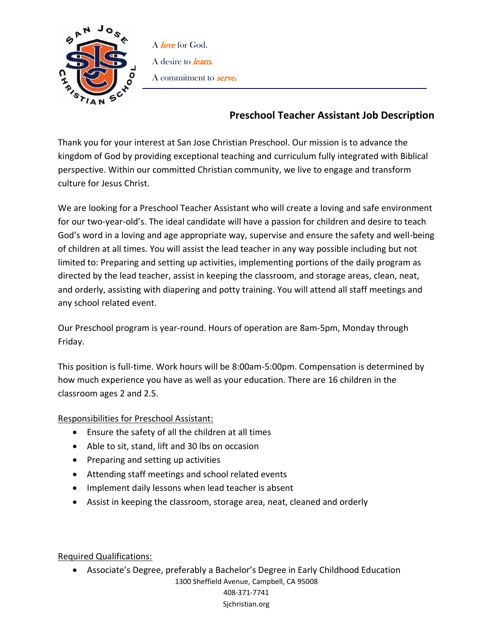

A love for God. A desire to *learn*. A commitment to **serve**.

## **Preschool Teacher Assistant Job Description**

Thank you for your interest at San Jose Christian Preschool. Our mission is to advance the kingdom of God by providing exceptional teaching and curriculum fully integrated with Biblical perspective. Within our committed Christian community, we live to engage and transform culture for Jesus Christ.

We are looking for a Preschool Teacher Assistant who will create a loving and safe environment for our two-year-old's. The ideal candidate will have a passion for children and desire to teach God's word in a loving and age appropriate way, supervise and ensure the safety and well-being of children at all times. You will assist the lead teacher in any way possible including but not limited to: Preparing and setting up activities, implementing portions of the daily program as directed by the lead teacher, assist in keeping the classroom, and storage areas, clean, neat, and orderly, assisting with diapering and potty training. You will attend all staff meetings and any school related event.

Our Preschool program is year-round. Hours of operation are 8am-5pm, Monday through Friday.

This position is full-time. Work hours will be 8:00am-5:00pm. Compensation is determined by how much experience you have as well as your education. There are 16 children in the classroom ages 2 and 2.5.

Responsibilities for Preschool Assistant:

- Ensure the safety of all the children at all times
- Able to sit, stand, lift and 30 lbs on occasion
- Preparing and setting up activities
- Attending staff meetings and school related events
- Implement daily lessons when lead teacher is absent
- Assist in keeping the classroom, storage area, neat, cleaned and orderly

Required Qualifications:

1300 Sheffield Avenue, Campbell, CA 95008 408-371-7741 Sjchristian.org • Associate's Degree, preferably a Bachelor's Degree in Early Childhood Education